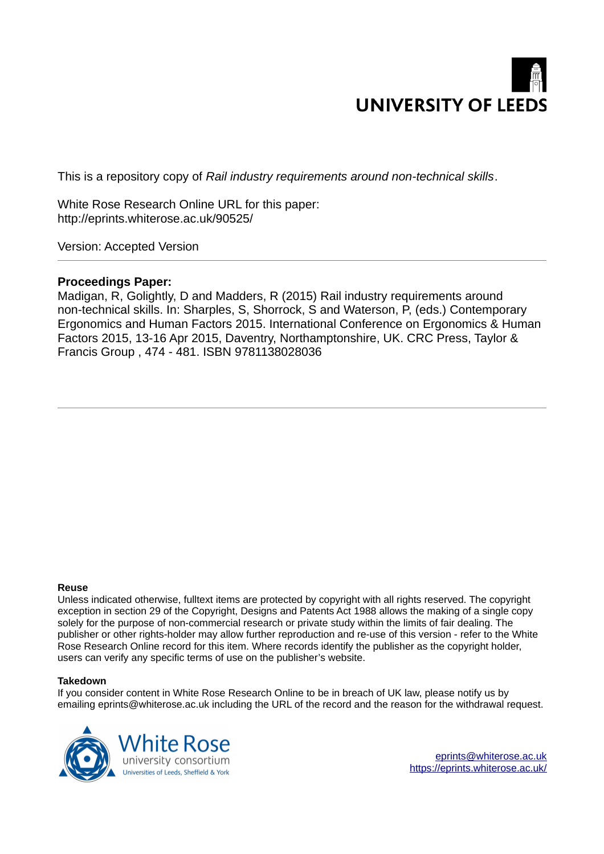

This is a repository copy of *Rail industry requirements around non-technical skills*.

White Rose Research Online URL for this paper: http://eprints.whiterose.ac.uk/90525/

Version: Accepted Version

# **Proceedings Paper:**

Madigan, R, Golightly, D and Madders, R (2015) Rail industry requirements around non-technical skills. In: Sharples, S, Shorrock, S and Waterson, P, (eds.) Contemporary Ergonomics and Human Factors 2015. International Conference on Ergonomics & Human Factors 2015, 13-16 Apr 2015, Daventry, Northamptonshire, UK. CRC Press, Taylor & Francis Group , 474 - 481. ISBN 9781138028036

## **Reuse**

Unless indicated otherwise, fulltext items are protected by copyright with all rights reserved. The copyright exception in section 29 of the Copyright, Designs and Patents Act 1988 allows the making of a single copy solely for the purpose of non-commercial research or private study within the limits of fair dealing. The publisher or other rights-holder may allow further reproduction and re-use of this version - refer to the White Rose Research Online record for this item. Where records identify the publisher as the copyright holder, users can verify any specific terms of use on the publisher's website.

## **Takedown**

If you consider content in White Rose Research Online to be in breach of UK law, please notify us by emailing eprints@whiterose.ac.uk including the URL of the record and the reason for the withdrawal request.



[eprints@whiterose.ac.uk](mailto:eprints@whiterose.ac.uk) <https://eprints.whiterose.ac.uk/>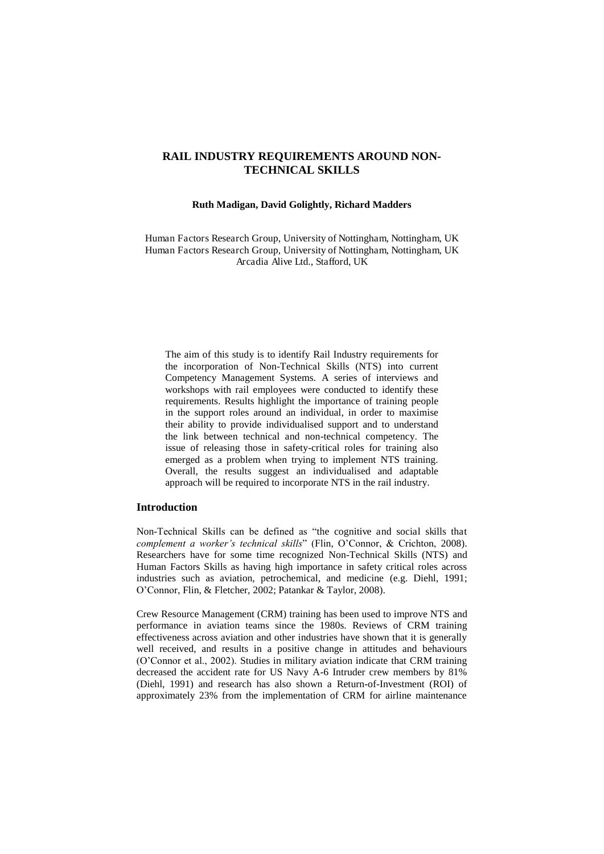## **RAIL INDUSTRY REQUIREMENTS AROUND NON-TECHNICAL SKILLS**

#### **Ruth Madigan, David Golightly, Richard Madders**

Human Factors Research Group, University of Nottingham, Nottingham, UK Human Factors Research Group, University of Nottingham, Nottingham, UK Arcadia Alive Ltd., Stafford, UK

The aim of this study is to identify Rail Industry requirements for the incorporation of Non-Technical Skills (NTS) into current Competency Management Systems. A series of interviews and workshops with rail employees were conducted to identify these requirements. Results highlight the importance of training people in the support roles around an individual, in order to maximise their ability to provide individualised support and to understand the link between technical and non-technical competency. The issue of releasing those in safety-critical roles for training also emerged as a problem when trying to implement NTS training. Overall, the results suggest an individualised and adaptable approach will be required to incorporate NTS in the rail industry.

## **Introduction**

Non-Technical Skills can be defined as "the cognitive and social skills that *complement a worker's technical skills*" (Flin, O'Connor, & Crichton, 2008). Researchers have for some time recognized Non-Technical Skills (NTS) and Human Factors Skills as having high importance in safety critical roles across industries such as aviation, petrochemical, and medicine (e.g. Diehl, 1991; O'Connor, Flin, & Fletcher, 2002; Patankar & Taylor, 2008).

Crew Resource Management (CRM) training has been used to improve NTS and performance in aviation teams since the 1980s. Reviews of CRM training effectiveness across aviation and other industries have shown that it is generally well received, and results in a positive change in attitudes and behaviours (O'Connor et al., 2002). Studies in military aviation indicate that CRM training decreased the accident rate for US Navy A-6 Intruder crew members by 81% (Diehl, 1991) and research has also shown a Return-of-Investment (ROI) of approximately 23% from the implementation of CRM for airline maintenance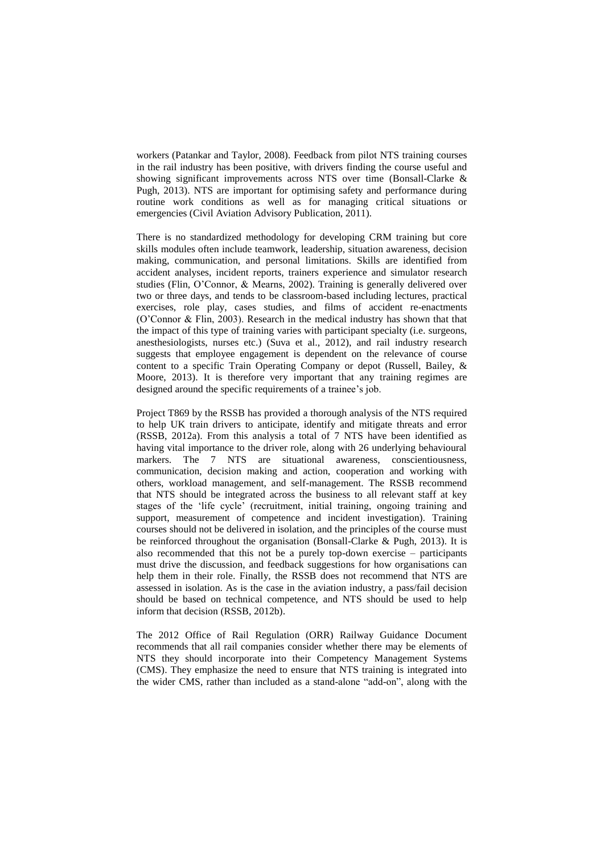workers (Patankar and Taylor, 2008). Feedback from pilot NTS training courses in the rail industry has been positive, with drivers finding the course useful and showing significant improvements across NTS over time (Bonsall-Clarke & Pugh, 2013). NTS are important for optimising safety and performance during routine work conditions as well as for managing critical situations or emergencies (Civil Aviation Advisory Publication, 2011).

There is no standardized methodology for developing CRM training but core skills modules often include teamwork, leadership, situation awareness, decision making, communication, and personal limitations. Skills are identified from accident analyses, incident reports, trainers experience and simulator research studies (Flin, O'Connor, & Mearns, 2002). Training is generally delivered over two or three days, and tends to be classroom-based including lectures, practical exercises, role play, cases studies, and films of accident re-enactments (O'Connor & Flin, 2003). Research in the medical industry has shown that that the impact of this type of training varies with participant specialty (i.e. surgeons, anesthesiologists, nurses etc.) (Suva et al., 2012), and rail industry research suggests that employee engagement is dependent on the relevance of course content to a specific Train Operating Company or depot (Russell, Bailey, & Moore, 2013). It is therefore very important that any training regimes are designed around the specific requirements of a trainee's job.

Project T869 by the RSSB has provided a thorough analysis of the NTS required to help UK train drivers to anticipate, identify and mitigate threats and error (RSSB, 2012a). From this analysis a total of 7 NTS have been identified as having vital importance to the driver role, along with 26 underlying behavioural markers. The 7 NTS are situational awareness, conscientiousness, communication, decision making and action, cooperation and working with others, workload management, and self-management. The RSSB recommend that NTS should be integrated across the business to all relevant staff at key stages of the 'life cycle' (recruitment, initial training, ongoing training and support, measurement of competence and incident investigation). Training courses should not be delivered in isolation, and the principles of the course must be reinforced throughout the organisation (Bonsall-Clarke & Pugh, 2013). It is also recommended that this not be a purely top-down exercise – participants must drive the discussion, and feedback suggestions for how organisations can help them in their role. Finally, the RSSB does not recommend that NTS are assessed in isolation. As is the case in the aviation industry, a pass/fail decision should be based on technical competence, and NTS should be used to help inform that decision (RSSB, 2012b).

The 2012 Office of Rail Regulation (ORR) Railway Guidance Document recommends that all rail companies consider whether there may be elements of NTS they should incorporate into their Competency Management Systems (CMS). They emphasize the need to ensure that NTS training is integrated into the wider CMS, rather than included as a stand-alone "add-on", along with the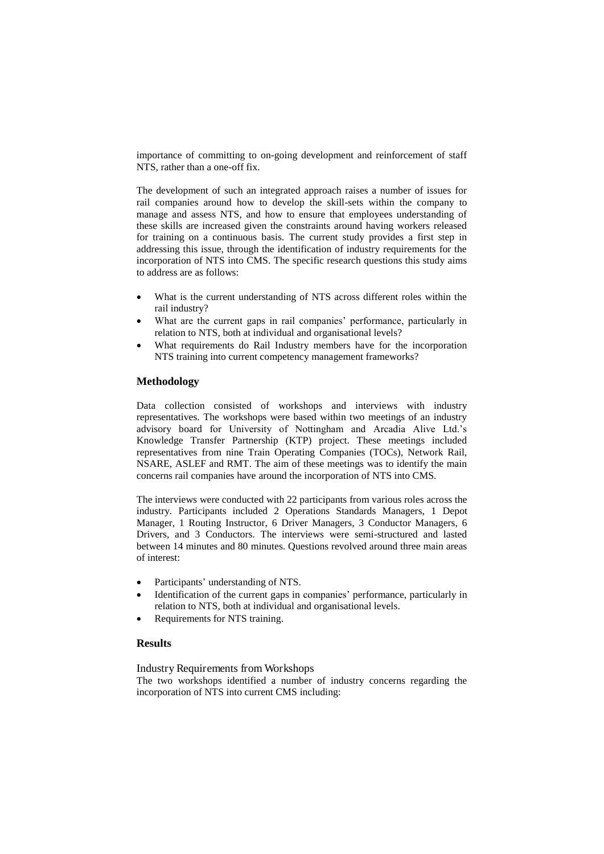importance of committing to on-going development and reinforcement of staff NTS, rather than a one-off fix.

The development of such an integrated approach raises a number of issues for rail companies around how to develop the skill-sets within the company to manage and assess NTS, and how to ensure that employees understanding of these skills are increased given the constraints around having workers released for training on a continuous basis. The current study provides a first step in addressing this issue, through the identification of industry requirements for the incorporation of NTS into CMS. The specific research questions this study aims to address are as follows:

- What is the current understanding of NTS across different roles within the rail industry?
- What are the current gaps in rail companies' performance, particularly in relation to NTS, both at individual and organisational levels?
- What requirements do Rail Industry members have for the incorporation NTS training into current competency management frameworks?

## **Methodology**

Data collection consisted of workshops and interviews with industry representatives. The workshops were based within two meetings of an industry advisory board for University of Nottingham and Arcadia Alive Ltd.'s Knowledge Transfer Partnership (KTP) project. These meetings included representatives from nine Train Operating Companies (TOCs), Network Rail, NSARE, ASLEF and RMT. The aim of these meetings was to identify the main concerns rail companies have around the incorporation of NTS into CMS.

The interviews were conducted with 22 participants from various roles across the industry. Participants included 2 Operations Standards Managers, 1 Depot Manager, 1 Routing Instructor, 6 Driver Managers, 3 Conductor Managers, 6 Drivers, and 3 Conductors. The interviews were semi-structured and lasted between 14 minutes and 80 minutes. Questions revolved around three main areas of interest:

- Participants' understanding of NTS.
- <span id="page-3-0"></span> Identification of the current gaps in companies' performance, particularly in relation to NTS, both at individual and organisational levels.
- Requirements for NTS training.

## **Results**

Industry Requirements from Workshops

The two workshops identified a number of industry concerns regarding the incorporation of NTS into current CMS including: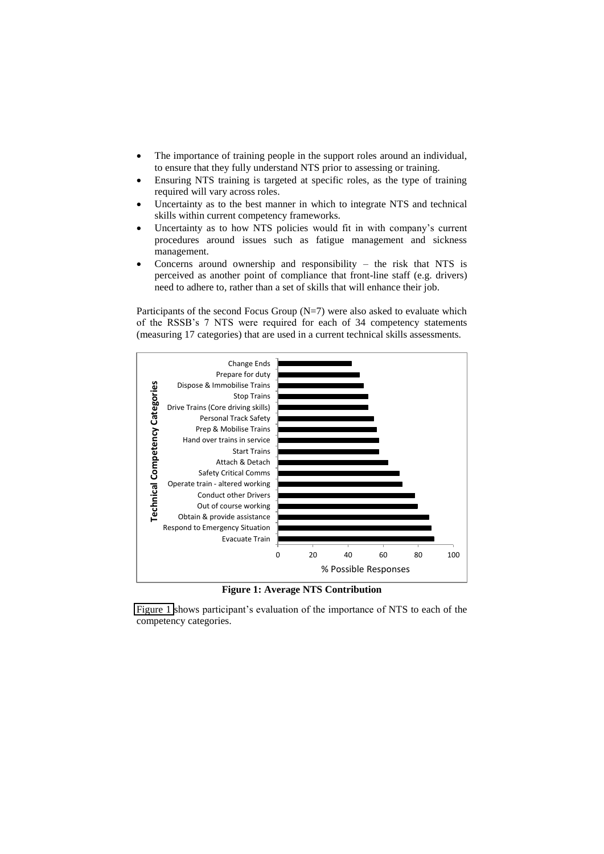- The importance of training people in the support roles around an individual, to ensure that they fully understand NTS prior to assessing or training.
- Ensuring NTS training is targeted at specific roles, as the type of training required will vary across roles.
- Uncertainty as to the best manner in which to integrate NTS and technical skills within current competency frameworks.
- Uncertainty as to how NTS policies would fit in with company's current procedures around issues such as fatigue management and sickness management.
- Concerns around ownership and responsibility the risk that NTS is perceived as another point of compliance that front-line staff (e.g. drivers) need to adhere to, rather than a set of skills that will enhance their job.

Participants of the second Focus Group  $(N=7)$  were also asked to evaluate which of the RSSB's 7 NTS were required for each of 34 competency statements (measuring 17 categories) that are used in a current technical skills assessments.

<span id="page-4-0"></span>

**Figure 1: Average NTS Contribution** 

[Figure 1](#page-3-0) shows participant's evaluation of the importance of NTS to each of the competency categories.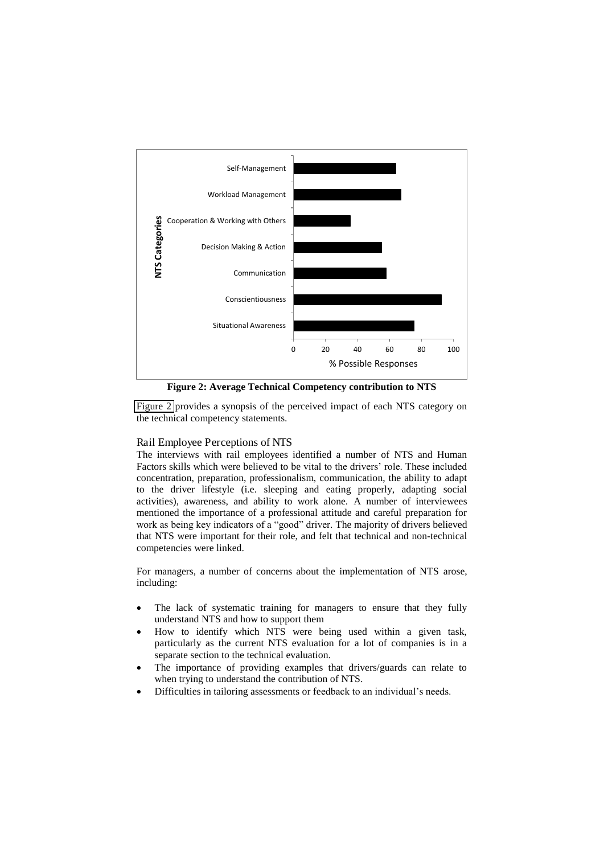

**Figure 2: Average Technical Competency contribution to NTS** 

[Figure 2](#page-4-0) provides a synopsis of the perceived impact of each NTS category on the technical competency statements.

## Rail Employee Perceptions of NTS

The interviews with rail employees identified a number of NTS and Human Factors skills which were believed to be vital to the drivers' role. These included concentration, preparation, professionalism, communication, the ability to adapt to the driver lifestyle (i.e. sleeping and eating properly, adapting social activities), awareness, and ability to work alone. A number of interviewees mentioned the importance of a professional attitude and careful preparation for work as being key indicators of a "good" driver. The majority of drivers believed that NTS were important for their role, and felt that technical and non-technical competencies were linked.

For managers, a number of concerns about the implementation of NTS arose, including:

- The lack of systematic training for managers to ensure that they fully understand NTS and how to support them
- How to identify which NTS were being used within a given task, particularly as the current NTS evaluation for a lot of companies is in a separate section to the technical evaluation.
- The importance of providing examples that drivers/guards can relate to when trying to understand the contribution of NTS.
- Difficulties in tailoring assessments or feedback to an individual's needs.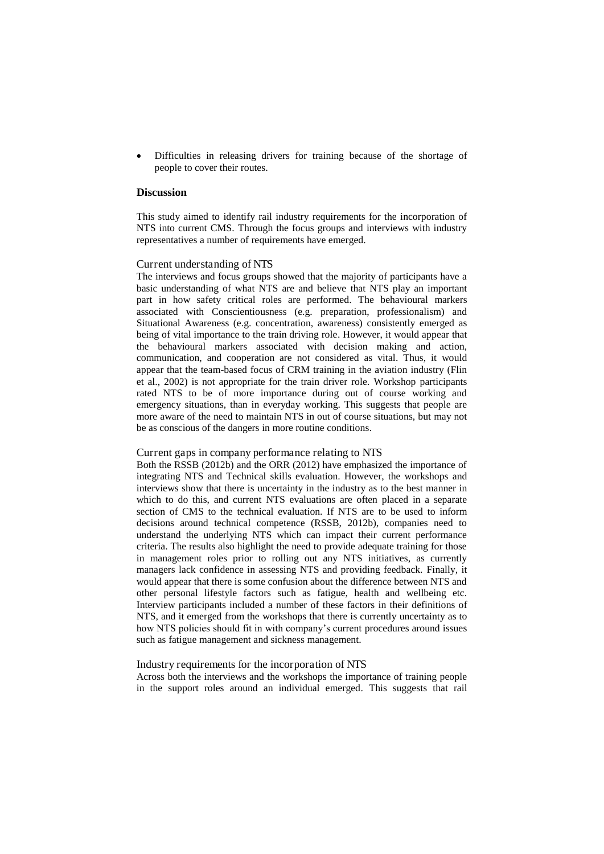Difficulties in releasing drivers for training because of the shortage of people to cover their routes.

#### **Discussion**

This study aimed to identify rail industry requirements for the incorporation of NTS into current CMS. Through the focus groups and interviews with industry representatives a number of requirements have emerged.

#### Current understanding of NTS

The interviews and focus groups showed that the majority of participants have a basic understanding of what NTS are and believe that NTS play an important part in how safety critical roles are performed. The behavioural markers associated with Conscientiousness (e.g. preparation, professionalism) and Situational Awareness (e.g. concentration, awareness) consistently emerged as being of vital importance to the train driving role. However, it would appear that the behavioural markers associated with decision making and action, communication, and cooperation are not considered as vital. Thus, it would appear that the team-based focus of CRM training in the aviation industry (Flin et al., 2002) is not appropriate for the train driver role. Workshop participants rated NTS to be of more importance during out of course working and emergency situations, than in everyday working. This suggests that people are more aware of the need to maintain NTS in out of course situations, but may not be as conscious of the dangers in more routine conditions.

#### Current gaps in company performance relating to NTS

Both the RSSB (2012b) and the ORR (2012) have emphasized the importance of integrating NTS and Technical skills evaluation. However, the workshops and interviews show that there is uncertainty in the industry as to the best manner in which to do this, and current NTS evaluations are often placed in a separate section of CMS to the technical evaluation. If NTS are to be used to inform decisions around technical competence (RSSB, 2012b), companies need to understand the underlying NTS which can impact their current performance criteria. The results also highlight the need to provide adequate training for those in management roles prior to rolling out any NTS initiatives, as currently managers lack confidence in assessing NTS and providing feedback. Finally, it would appear that there is some confusion about the difference between NTS and other personal lifestyle factors such as fatigue, health and wellbeing etc. Interview participants included a number of these factors in their definitions of NTS, and it emerged from the workshops that there is currently uncertainty as to how NTS policies should fit in with company's current procedures around issues such as fatigue management and sickness management.

#### Industry requirements for the incorporation of NTS

Across both the interviews and the workshops the importance of training people in the support roles around an individual emerged. This suggests that rail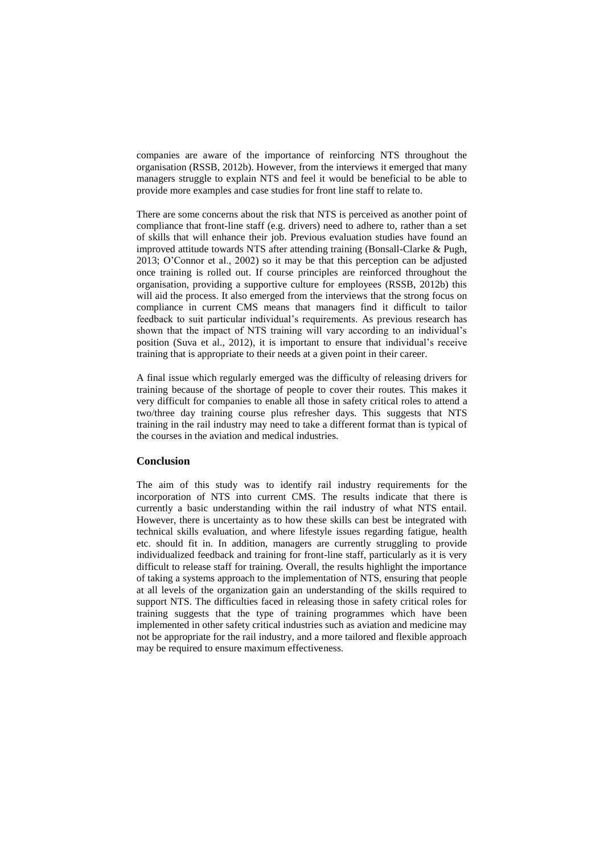companies are aware of the importance of reinforcing NTS throughout the organisation (RSSB, 2012b). However, from the interviews it emerged that many managers struggle to explain NTS and feel it would be beneficial to be able to provide more examples and case studies for front line staff to relate to.

There are some concerns about the risk that NTS is perceived as another point of compliance that front-line staff (e.g. drivers) need to adhere to, rather than a set of skills that will enhance their job. Previous evaluation studies have found an improved attitude towards NTS after attending training (Bonsall-Clarke & Pugh, 2013; O'Connor et al., 2002) so it may be that this perception can be adjusted once training is rolled out. If course principles are reinforced throughout the organisation, providing a supportive culture for employees (RSSB, 2012b) this will aid the process. It also emerged from the interviews that the strong focus on compliance in current CMS means that managers find it difficult to tailor feedback to suit particular individual's requirements. As previous research has shown that the impact of NTS training will vary according to an individual's position (Suva et al., 2012), it is important to ensure that individual's receive training that is appropriate to their needs at a given point in their career.

A final issue which regularly emerged was the difficulty of releasing drivers for training because of the shortage of people to cover their routes. This makes it very difficult for companies to enable all those in safety critical roles to attend a two/three day training course plus refresher days. This suggests that NTS training in the rail industry may need to take a different format than is typical of the courses in the aviation and medical industries.

#### **Conclusion**

The aim of this study was to identify rail industry requirements for the incorporation of NTS into current CMS. The results indicate that there is currently a basic understanding within the rail industry of what NTS entail. However, there is uncertainty as to how these skills can best be integrated with technical skills evaluation, and where lifestyle issues regarding fatigue, health etc. should fit in. In addition, managers are currently struggling to provide individualized feedback and training for front-line staff, particularly as it is very difficult to release staff for training. Overall, the results highlight the importance of taking a systems approach to the implementation of NTS, ensuring that people at all levels of the organization gain an understanding of the skills required to support NTS. The difficulties faced in releasing those in safety critical roles for training suggests that the type of training programmes which have been implemented in other safety critical industries such as aviation and medicine may not be appropriate for the rail industry, and a more tailored and flexible approach may be required to ensure maximum effectiveness.